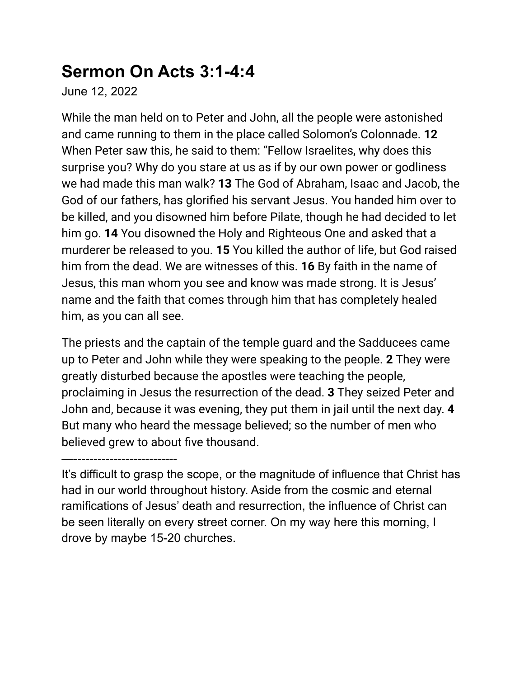## **Sermon On Acts 3:1-4:4**

June 12, 2022

While the man held on to Peter and John, all the people were astonished and came running to them in the place called Solomon's Colonnade. **12** When Peter saw this, he said to them: "Fellow Israelites, why does this surprise you? Why do you stare at us as if by our own power or godliness we had made this man walk? **13** The God of Abraham, Isaac and Jacob, the God of our fathers, has glorified his servant Jesus. You handed him over to be killed, and you disowned him before Pilate, though he had decided to let him go. **14** You disowned the Holy and Righteous One and asked that a murderer be released to you. **15** You killed the author of life, but God raised him from the dead. We are witnesses of this. **16** By faith in the name of Jesus, this man whom you see and know was made strong. It is Jesus' name and the faith that comes through him that has completely healed him, as you can all see.

The priests and the captain of the temple guard and the Sadducees came up to Peter and John while they were speaking to the people. **2** They were greatly disturbed because the apostles were teaching the people, proclaiming in Jesus the resurrection of the dead. **3** They seized Peter and John and, because it was evening, they put them in jail until the next day. **4** But many who heard the message believed; so the number of men who believed grew to about five thousand.

—--------------------------

It's difficult to grasp the scope, or the magnitude of influence that Christ has had in our world throughout history. Aside from the cosmic and eternal ramifications of Jesus' death and resurrection, the influence of Christ can be seen literally on every street corner. On my way here this morning, I drove by maybe 15-20 churches.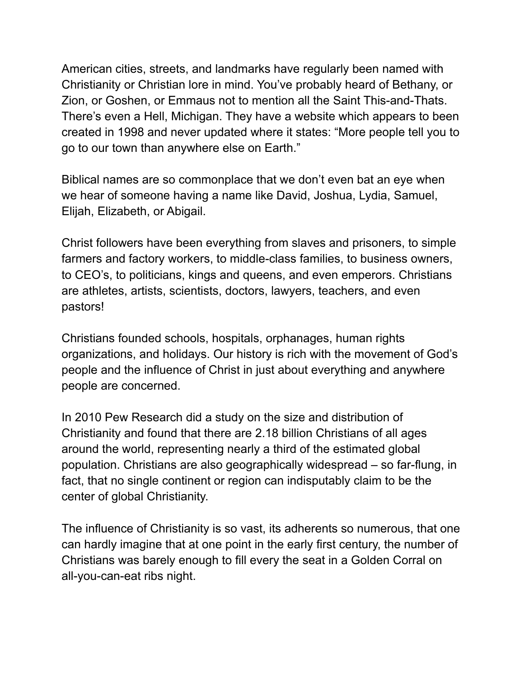American cities, streets, and landmarks have regularly been named with Christianity or Christian lore in mind. You've probably heard of Bethany, or Zion, or Goshen, or Emmaus not to mention all the Saint This-and-Thats. There's even a Hell, Michigan. They have a website which appears to been created in 1998 and never updated where it states: "More people tell you to go to our town than anywhere else on Earth."

Biblical names are so commonplace that we don't even bat an eye when we hear of someone having a name like David, Joshua, Lydia, Samuel, Elijah, Elizabeth, or Abigail.

Christ followers have been everything from slaves and prisoners, to simple farmers and factory workers, to middle-class families, to business owners, to CEO's, to politicians, kings and queens, and even emperors. Christians are athletes, artists, scientists, doctors, lawyers, teachers, and even pastors!

Christians founded schools, hospitals, orphanages, human rights organizations, and holidays. Our history is rich with the movement of God's people and the influence of Christ in just about everything and anywhere people are concerned.

In 2010 Pew Research did a study on the size and distribution of Christianity and found that there are 2.18 billion Christians of all ages around the world, representing nearly a third of the estimated global population. Christians are also geographically widespread – so far-flung, in fact, that no single continent or region can indisputably claim to be the center of global Christianity.

The influence of Christianity is so vast, its adherents so numerous, that one can hardly imagine that at one point in the early first century, the number of Christians was barely enough to fill every the seat in a Golden Corral on all-you-can-eat ribs night.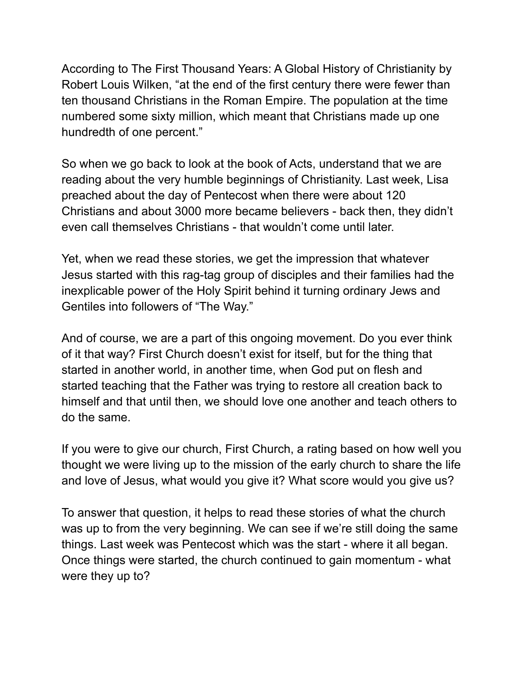According to The First Thousand Years: A Global History of Christianity by Robert Louis Wilken, "at the end of the first century there were fewer than ten thousand Christians in the Roman Empire. The population at the time numbered some sixty million, which meant that Christians made up one hundredth of one percent."

So when we go back to look at the book of Acts, understand that we are reading about the very humble beginnings of Christianity. Last week, Lisa preached about the day of Pentecost when there were about 120 Christians and about 3000 more became believers - back then, they didn't even call themselves Christians - that wouldn't come until later.

Yet, when we read these stories, we get the impression that whatever Jesus started with this rag-tag group of disciples and their families had the inexplicable power of the Holy Spirit behind it turning ordinary Jews and Gentiles into followers of "The Way."

And of course, we are a part of this ongoing movement. Do you ever think of it that way? First Church doesn't exist for itself, but for the thing that started in another world, in another time, when God put on flesh and started teaching that the Father was trying to restore all creation back to himself and that until then, we should love one another and teach others to do the same.

If you were to give our church, First Church, a rating based on how well you thought we were living up to the mission of the early church to share the life and love of Jesus, what would you give it? What score would you give us?

To answer that question, it helps to read these stories of what the church was up to from the very beginning. We can see if we're still doing the same things. Last week was Pentecost which was the start - where it all began. Once things were started, the church continued to gain momentum - what were they up to?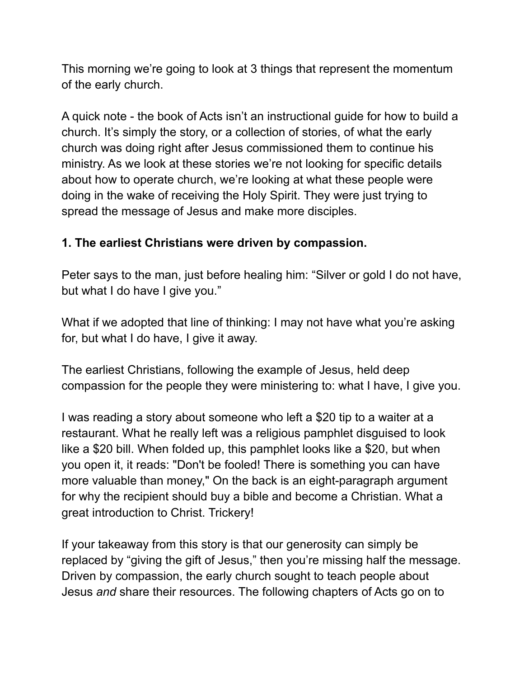This morning we're going to look at 3 things that represent the momentum of the early church.

A quick note - the book of Acts isn't an instructional guide for how to build a church. It's simply the story, or a collection of stories, of what the early church was doing right after Jesus commissioned them to continue his ministry. As we look at these stories we're not looking for specific details about how to operate church, we're looking at what these people were doing in the wake of receiving the Holy Spirit. They were just trying to spread the message of Jesus and make more disciples.

## **1. The earliest Christians were driven by compassion.**

Peter says to the man, just before healing him: "Silver or gold I do not have, but what I do have I give you."

What if we adopted that line of thinking: I may not have what you're asking for, but what I do have, I give it away.

The earliest Christians, following the example of Jesus, held deep compassion for the people they were ministering to: what I have, I give you.

I was reading a story about someone who left a \$20 tip to a waiter at a restaurant. What he really left was a religious pamphlet disguised to look like a \$20 bill. When folded up, this pamphlet looks like a \$20, but when you open it, it reads: "Don't be fooled! There is something you can have more valuable than money," On the back is an eight-paragraph argument for why the recipient should buy a bible and become a Christian. What a great introduction to Christ. Trickery!

If your takeaway from this story is that our generosity can simply be replaced by "giving the gift of Jesus," then you're missing half the message. Driven by compassion, the early church sought to teach people about Jesus *and* share their resources. The following chapters of Acts go on to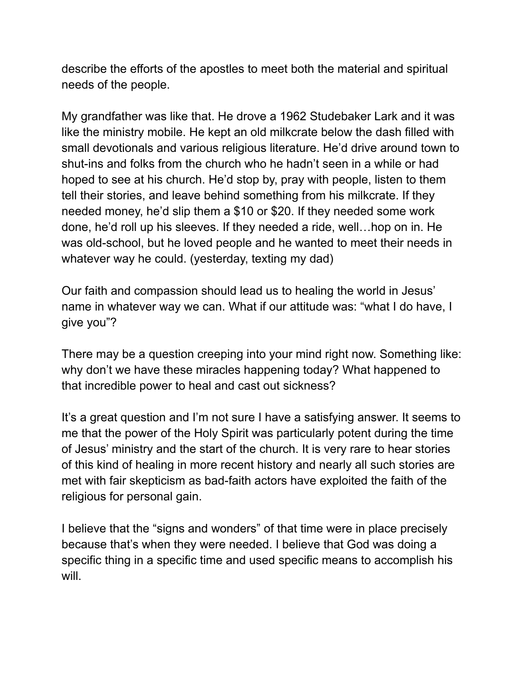describe the efforts of the apostles to meet both the material and spiritual needs of the people.

My grandfather was like that. He drove a 1962 Studebaker Lark and it was like the ministry mobile. He kept an old milkcrate below the dash filled with small devotionals and various religious literature. He'd drive around town to shut-ins and folks from the church who he hadn't seen in a while or had hoped to see at his church. He'd stop by, pray with people, listen to them tell their stories, and leave behind something from his milkcrate. If they needed money, he'd slip them a \$10 or \$20. If they needed some work done, he'd roll up his sleeves. If they needed a ride, well…hop on in. He was old-school, but he loved people and he wanted to meet their needs in whatever way he could. (yesterday, texting my dad)

Our faith and compassion should lead us to healing the world in Jesus' name in whatever way we can. What if our attitude was: "what I do have, I give you"?

There may be a question creeping into your mind right now. Something like: why don't we have these miracles happening today? What happened to that incredible power to heal and cast out sickness?

It's a great question and I'm not sure I have a satisfying answer. It seems to me that the power of the Holy Spirit was particularly potent during the time of Jesus' ministry and the start of the church. It is very rare to hear stories of this kind of healing in more recent history and nearly all such stories are met with fair skepticism as bad-faith actors have exploited the faith of the religious for personal gain.

I believe that the "signs and wonders" of that time were in place precisely because that's when they were needed. I believe that God was doing a specific thing in a specific time and used specific means to accomplish his will.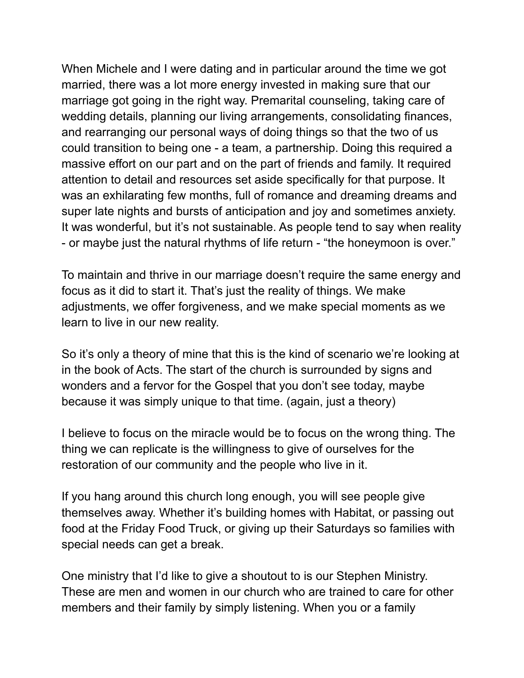When Michele and I were dating and in particular around the time we got married, there was a lot more energy invested in making sure that our marriage got going in the right way. Premarital counseling, taking care of wedding details, planning our living arrangements, consolidating finances, and rearranging our personal ways of doing things so that the two of us could transition to being one - a team, a partnership. Doing this required a massive effort on our part and on the part of friends and family. It required attention to detail and resources set aside specifically for that purpose. It was an exhilarating few months, full of romance and dreaming dreams and super late nights and bursts of anticipation and joy and sometimes anxiety. It was wonderful, but it's not sustainable. As people tend to say when reality - or maybe just the natural rhythms of life return - "the honeymoon is over."

To maintain and thrive in our marriage doesn't require the same energy and focus as it did to start it. That's just the reality of things. We make adjustments, we offer forgiveness, and we make special moments as we learn to live in our new reality.

So it's only a theory of mine that this is the kind of scenario we're looking at in the book of Acts. The start of the church is surrounded by signs and wonders and a fervor for the Gospel that you don't see today, maybe because it was simply unique to that time. (again, just a theory)

I believe to focus on the miracle would be to focus on the wrong thing. The thing we can replicate is the willingness to give of ourselves for the restoration of our community and the people who live in it.

If you hang around this church long enough, you will see people give themselves away. Whether it's building homes with Habitat, or passing out food at the Friday Food Truck, or giving up their Saturdays so families with special needs can get a break.

One ministry that I'd like to give a shoutout to is our Stephen Ministry. These are men and women in our church who are trained to care for other members and their family by simply listening. When you or a family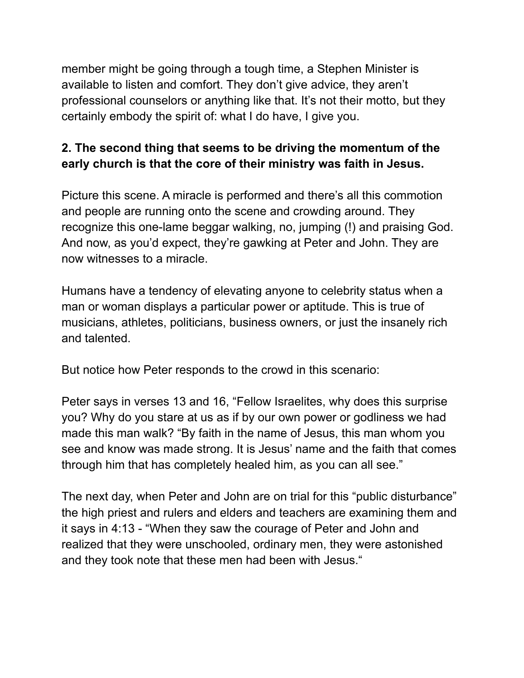member might be going through a tough time, a Stephen Minister is available to listen and comfort. They don't give advice, they aren't professional counselors or anything like that. It's not their motto, but they certainly embody the spirit of: what I do have, I give you.

## **2. The second thing that seems to be driving the momentum of the early church is that the core of their ministry was faith in Jesus.**

Picture this scene. A miracle is performed and there's all this commotion and people are running onto the scene and crowding around. They recognize this one-lame beggar walking, no, jumping (!) and praising God. And now, as you'd expect, they're gawking at Peter and John. They are now witnesses to a miracle.

Humans have a tendency of elevating anyone to celebrity status when a man or woman displays a particular power or aptitude. This is true of musicians, athletes, politicians, business owners, or just the insanely rich and talented.

But notice how Peter responds to the crowd in this scenario:

Peter says in verses 13 and 16, "Fellow Israelites, why does this surprise you? Why do you stare at us as if by our own power or godliness we had made this man walk? "By faith in the name of Jesus, this man whom you see and know was made strong. It is Jesus' name and the faith that comes through him that has completely healed him, as you can all see."

The next day, when Peter and John are on trial for this "public disturbance" the high priest and rulers and elders and teachers are examining them and it says in 4:13 - "When they saw the courage of Peter and John and realized that they were unschooled, ordinary men, they were astonished and they took note that these men had been with Jesus."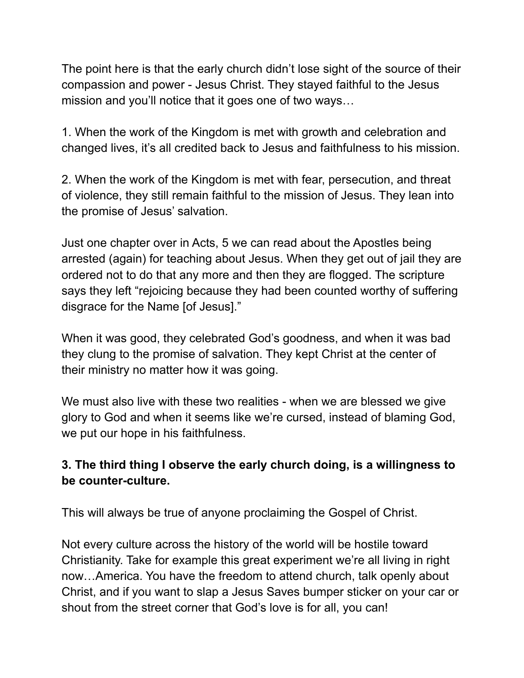The point here is that the early church didn't lose sight of the source of their compassion and power - Jesus Christ. They stayed faithful to the Jesus mission and you'll notice that it goes one of two ways…

1. When the work of the Kingdom is met with growth and celebration and changed lives, it's all credited back to Jesus and faithfulness to his mission.

2. When the work of the Kingdom is met with fear, persecution, and threat of violence, they still remain faithful to the mission of Jesus. They lean into the promise of Jesus' salvation.

Just one chapter over in Acts, 5 we can read about the Apostles being arrested (again) for teaching about Jesus. When they get out of jail they are ordered not to do that any more and then they are flogged. The scripture says they left "rejoicing because they had been counted worthy of suffering disgrace for the Name [of Jesus]."

When it was good, they celebrated God's goodness, and when it was bad they clung to the promise of salvation. They kept Christ at the center of their ministry no matter how it was going.

We must also live with these two realities - when we are blessed we give glory to God and when it seems like we're cursed, instead of blaming God, we put our hope in his faithfulness.

## **3. The third thing I observe the early church doing, is a willingness to be counter-culture.**

This will always be true of anyone proclaiming the Gospel of Christ.

Not every culture across the history of the world will be hostile toward Christianity. Take for example this great experiment we're all living in right now…America. You have the freedom to attend church, talk openly about Christ, and if you want to slap a Jesus Saves bumper sticker on your car or shout from the street corner that God's love is for all, you can!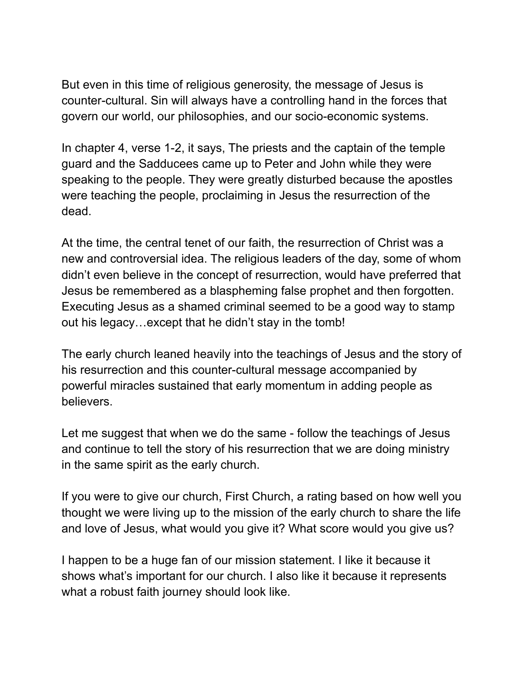But even in this time of religious generosity, the message of Jesus is counter-cultural. Sin will always have a controlling hand in the forces that govern our world, our philosophies, and our socio-economic systems.

In chapter 4, verse 1-2, it says, The priests and the captain of the temple guard and the Sadducees came up to Peter and John while they were speaking to the people. They were greatly disturbed because the apostles were teaching the people, proclaiming in Jesus the resurrection of the dead.

At the time, the central tenet of our faith, the resurrection of Christ was a new and controversial idea. The religious leaders of the day, some of whom didn't even believe in the concept of resurrection, would have preferred that Jesus be remembered as a blaspheming false prophet and then forgotten. Executing Jesus as a shamed criminal seemed to be a good way to stamp out his legacy…except that he didn't stay in the tomb!

The early church leaned heavily into the teachings of Jesus and the story of his resurrection and this counter-cultural message accompanied by powerful miracles sustained that early momentum in adding people as believers.

Let me suggest that when we do the same - follow the teachings of Jesus and continue to tell the story of his resurrection that we are doing ministry in the same spirit as the early church.

If you were to give our church, First Church, a rating based on how well you thought we were living up to the mission of the early church to share the life and love of Jesus, what would you give it? What score would you give us?

I happen to be a huge fan of our mission statement. I like it because it shows what's important for our church. I also like it because it represents what a robust faith journey should look like.